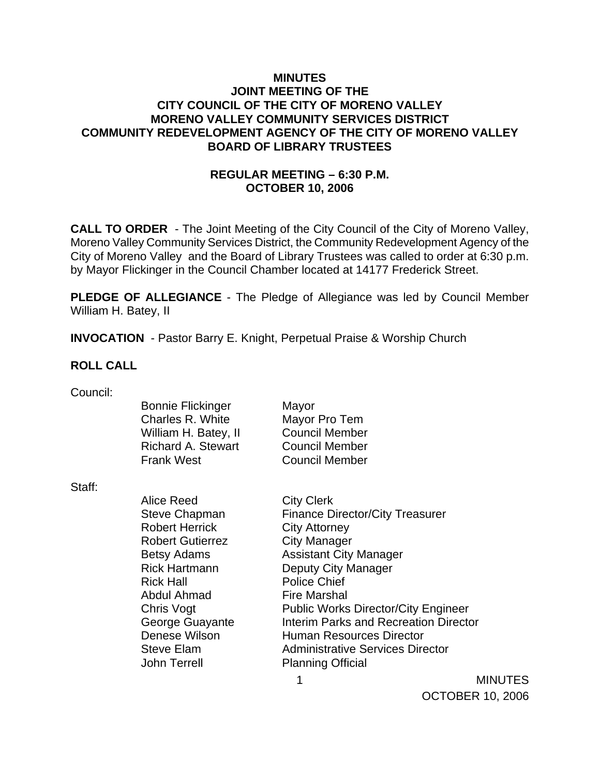### **MINUTES JOINT MEETING OF THE CITY COUNCIL OF THE CITY OF MORENO VALLEY MORENO VALLEY COMMUNITY SERVICES DISTRICT COMMUNITY REDEVELOPMENT AGENCY OF THE CITY OF MORENO VALLEY BOARD OF LIBRARY TRUSTEES**

## **REGULAR MEETING – 6:30 P.M. OCTOBER 10, 2006**

**CALL TO ORDER** - The Joint Meeting of the City Council of the City of Moreno Valley, Moreno Valley Community Services District, the Community Redevelopment Agency of the City of Moreno Valley and the Board of Library Trustees was called to order at 6:30 p.m. by Mayor Flickinger in the Council Chamber located at 14177 Frederick Street.

**PLEDGE OF ALLEGIANCE** - The Pledge of Allegiance was led by Council Member William H. Batey, II

**INVOCATION** - Pastor Barry E. Knight, Perpetual Praise & Worship Church

#### **ROLL CALL**

Council:

Bonnie Flickinger Mayor Charles R. White Mayor Pro Tem William H. Batey, II Council Member Richard A. Stewart Council Member Frank West Council Member

Staff:

Alice Reed City Clerk Robert Herrick City Attorney Robert Gutierrez **City Manager** Rick Hall **Police Chief** Abdul Ahmad Fire Marshal John Terrell Planning Official

Steve Chapman Finance Director/City Treasurer Betsy Adams Assistant City Manager Rick Hartmann Deputy City Manager Chris Vogt **Public Works Director/City Engineer** George Guayante **Interim Parks and Recreation Director** Denese Wilson **Human Resources Director** Steve Elam Administrative Services Director

1

MINUTES OCTOBER 10, 2006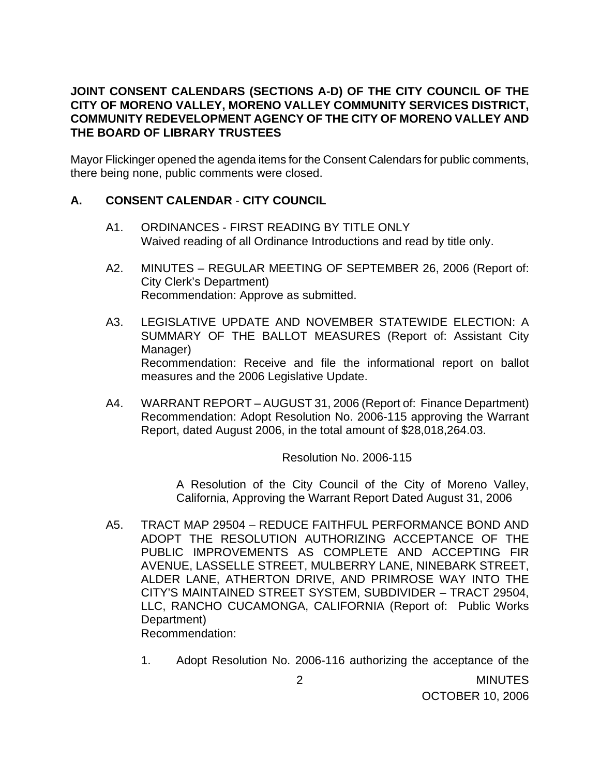### **JOINT CONSENT CALENDARS (SECTIONS A-D) OF THE CITY COUNCIL OF THE CITY OF MORENO VALLEY, MORENO VALLEY COMMUNITY SERVICES DISTRICT, COMMUNITY REDEVELOPMENT AGENCY OF THE CITY OF MORENO VALLEY AND THE BOARD OF LIBRARY TRUSTEES**

Mayor Flickinger opened the agenda items for the Consent Calendars for public comments, there being none, public comments were closed.

## **A. CONSENT CALENDAR** - **CITY COUNCIL**

- A1. ORDINANCES FIRST READING BY TITLE ONLY Waived reading of all Ordinance Introductions and read by title only.
- A2. MINUTES REGULAR MEETING OF SEPTEMBER 26, 2006 (Report of: City Clerk's Department) Recommendation: Approve as submitted.
- A3. LEGISLATIVE UPDATE AND NOVEMBER STATEWIDE ELECTION: A SUMMARY OF THE BALLOT MEASURES (Report of: Assistant City Manager) Recommendation: Receive and file the informational report on ballot measures and the 2006 Legislative Update.
- A4. WARRANT REPORT AUGUST 31, 2006 (Report of: Finance Department) Recommendation: Adopt Resolution No. 2006-115 approving the Warrant Report, dated August 2006, in the total amount of \$28,018,264.03.

Resolution No. 2006-115

 A Resolution of the City Council of the City of Moreno Valley, California, Approving the Warrant Report Dated August 31, 2006

- A5. TRACT MAP 29504 REDUCE FAITHFUL PERFORMANCE BOND AND ADOPT THE RESOLUTION AUTHORIZING ACCEPTANCE OF THE PUBLIC IMPROVEMENTS AS COMPLETE AND ACCEPTING FIR AVENUE, LASSELLE STREET, MULBERRY LANE, NINEBARK STREET, ALDER LANE, ATHERTON DRIVE, AND PRIMROSE WAY INTO THE CITY'S MAINTAINED STREET SYSTEM, SUBDIVIDER – TRACT 29504, LLC, RANCHO CUCAMONGA, CALIFORNIA (Report of: Public Works Department) Recommendation:
	- 1. Adopt Resolution No. 2006-116 authorizing the acceptance of the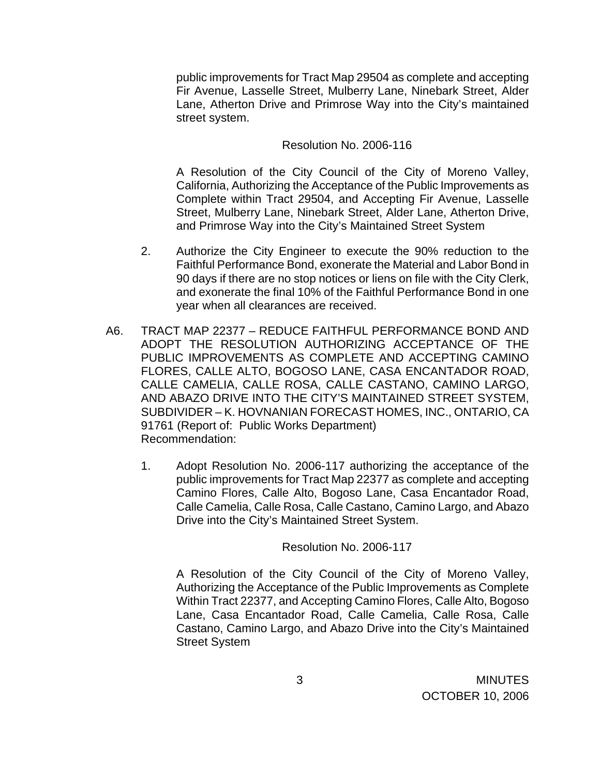public improvements for Tract Map 29504 as complete and accepting Fir Avenue, Lasselle Street, Mulberry Lane, Ninebark Street, Alder Lane, Atherton Drive and Primrose Way into the City's maintained street system.

#### Resolution No. 2006-116

 A Resolution of the City Council of the City of Moreno Valley, California, Authorizing the Acceptance of the Public Improvements as Complete within Tract 29504, and Accepting Fir Avenue, Lasselle Street, Mulberry Lane, Ninebark Street, Alder Lane, Atherton Drive, and Primrose Way into the City's Maintained Street System

- 2. Authorize the City Engineer to execute the 90% reduction to the Faithful Performance Bond, exonerate the Material and Labor Bond in 90 days if there are no stop notices or liens on file with the City Clerk, and exonerate the final 10% of the Faithful Performance Bond in one year when all clearances are received.
- A6. TRACT MAP 22377 REDUCE FAITHFUL PERFORMANCE BOND AND ADOPT THE RESOLUTION AUTHORIZING ACCEPTANCE OF THE PUBLIC IMPROVEMENTS AS COMPLETE AND ACCEPTING CAMINO FLORES, CALLE ALTO, BOGOSO LANE, CASA ENCANTADOR ROAD, CALLE CAMELIA, CALLE ROSA, CALLE CASTANO, CAMINO LARGO, AND ABAZO DRIVE INTO THE CITY'S MAINTAINED STREET SYSTEM, SUBDIVIDER – K. HOVNANIAN FORECAST HOMES, INC., ONTARIO, CA 91761 (Report of: Public Works Department) Recommendation:
	- 1. Adopt Resolution No. 2006-117 authorizing the acceptance of the public improvements for Tract Map 22377 as complete and accepting Camino Flores, Calle Alto, Bogoso Lane, Casa Encantador Road, Calle Camelia, Calle Rosa, Calle Castano, Camino Largo, and Abazo Drive into the City's Maintained Street System.

Resolution No. 2006-117

 A Resolution of the City Council of the City of Moreno Valley, Authorizing the Acceptance of the Public Improvements as Complete Within Tract 22377, and Accepting Camino Flores, Calle Alto, Bogoso Lane, Casa Encantador Road, Calle Camelia, Calle Rosa, Calle Castano, Camino Largo, and Abazo Drive into the City's Maintained Street System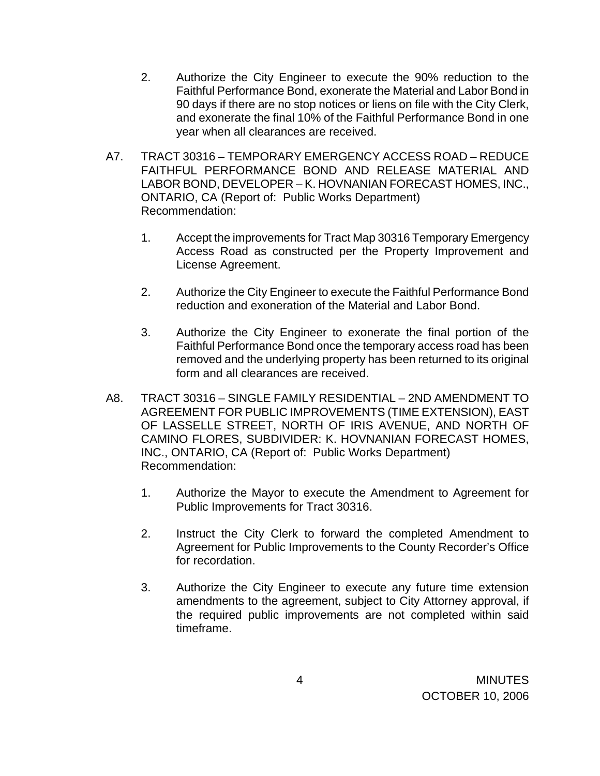- 2. Authorize the City Engineer to execute the 90% reduction to the Faithful Performance Bond, exonerate the Material and Labor Bond in 90 days if there are no stop notices or liens on file with the City Clerk, and exonerate the final 10% of the Faithful Performance Bond in one year when all clearances are received.
- A7. TRACT 30316 TEMPORARY EMERGENCY ACCESS ROAD REDUCE FAITHFUL PERFORMANCE BOND AND RELEASE MATERIAL AND LABOR BOND, DEVELOPER – K. HOVNANIAN FORECAST HOMES, INC., ONTARIO, CA (Report of: Public Works Department) Recommendation:
	- 1. Accept the improvements for Tract Map 30316 Temporary Emergency Access Road as constructed per the Property Improvement and License Agreement.
	- 2. Authorize the City Engineer to execute the Faithful Performance Bond reduction and exoneration of the Material and Labor Bond.
	- 3. Authorize the City Engineer to exonerate the final portion of the Faithful Performance Bond once the temporary access road has been removed and the underlying property has been returned to its original form and all clearances are received.
- A8. TRACT 30316 SINGLE FAMILY RESIDENTIAL 2ND AMENDMENT TO AGREEMENT FOR PUBLIC IMPROVEMENTS (TIME EXTENSION), EAST OF LASSELLE STREET, NORTH OF IRIS AVENUE, AND NORTH OF CAMINO FLORES, SUBDIVIDER: K. HOVNANIAN FORECAST HOMES, INC., ONTARIO, CA (Report of: Public Works Department) Recommendation:
	- 1. Authorize the Mayor to execute the Amendment to Agreement for Public Improvements for Tract 30316.
	- 2. Instruct the City Clerk to forward the completed Amendment to Agreement for Public Improvements to the County Recorder's Office for recordation.
	- 3. Authorize the City Engineer to execute any future time extension amendments to the agreement, subject to City Attorney approval, if the required public improvements are not completed within said timeframe.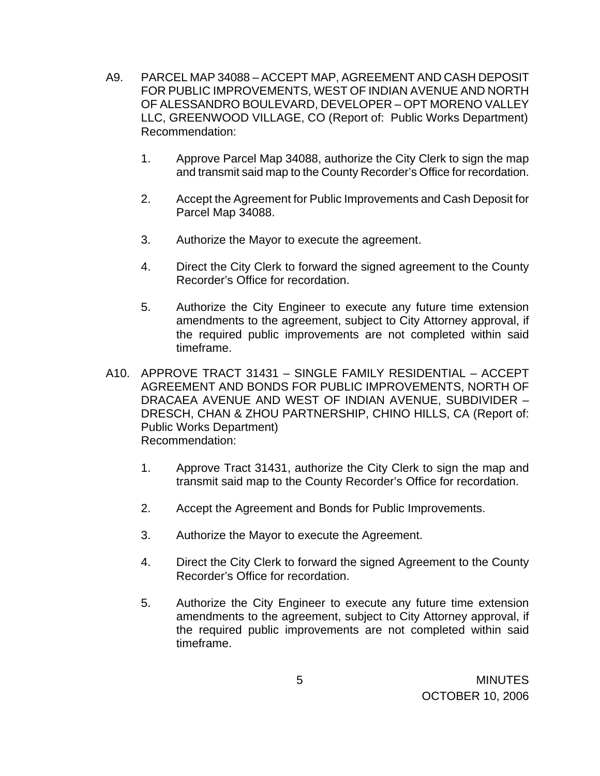- A9. PARCEL MAP 34088 ACCEPT MAP, AGREEMENT AND CASH DEPOSIT FOR PUBLIC IMPROVEMENTS, WEST OF INDIAN AVENUE AND NORTH OF ALESSANDRO BOULEVARD, DEVELOPER – OPT MORENO VALLEY LLC, GREENWOOD VILLAGE, CO (Report of: Public Works Department) Recommendation:
	- 1. Approve Parcel Map 34088, authorize the City Clerk to sign the map and transmit said map to the County Recorder's Office for recordation.
	- 2. Accept the Agreement for Public Improvements and Cash Deposit for Parcel Map 34088.
	- 3. Authorize the Mayor to execute the agreement.
	- 4. Direct the City Clerk to forward the signed agreement to the County Recorder's Office for recordation.
	- 5. Authorize the City Engineer to execute any future time extension amendments to the agreement, subject to City Attorney approval, if the required public improvements are not completed within said timeframe.
- A10. APPROVE TRACT 31431 SINGLE FAMILY RESIDENTIAL ACCEPT AGREEMENT AND BONDS FOR PUBLIC IMPROVEMENTS, NORTH OF DRACAEA AVENUE AND WEST OF INDIAN AVENUE, SUBDIVIDER – DRESCH, CHAN & ZHOU PARTNERSHIP, CHINO HILLS, CA (Report of: Public Works Department) Recommendation:
	- 1. Approve Tract 31431, authorize the City Clerk to sign the map and transmit said map to the County Recorder's Office for recordation.
	- 2. Accept the Agreement and Bonds for Public Improvements.
	- 3. Authorize the Mayor to execute the Agreement.
	- 4. Direct the City Clerk to forward the signed Agreement to the County Recorder's Office for recordation.
	- 5. Authorize the City Engineer to execute any future time extension amendments to the agreement, subject to City Attorney approval, if the required public improvements are not completed within said timeframe.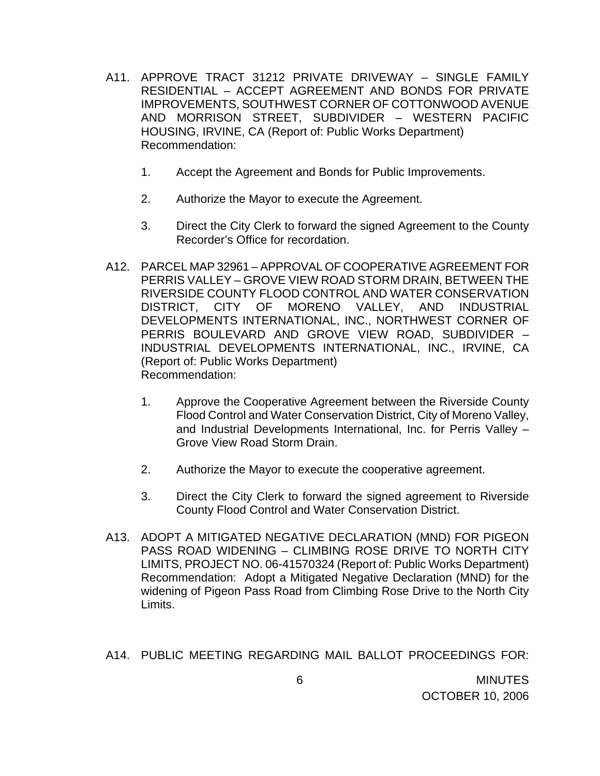- A11. APPROVE TRACT 31212 PRIVATE DRIVEWAY SINGLE FAMILY RESIDENTIAL – ACCEPT AGREEMENT AND BONDS FOR PRIVATE IMPROVEMENTS, SOUTHWEST CORNER OF COTTONWOOD AVENUE AND MORRISON STREET, SUBDIVIDER – WESTERN PACIFIC HOUSING, IRVINE, CA (Report of: Public Works Department) Recommendation:
	- 1. Accept the Agreement and Bonds for Public Improvements.
	- 2. Authorize the Mayor to execute the Agreement.
	- 3. Direct the City Clerk to forward the signed Agreement to the County Recorder's Office for recordation.
- A12. PARCEL MAP 32961 APPROVAL OF COOPERATIVE AGREEMENT FOR PERRIS VALLEY – GROVE VIEW ROAD STORM DRAIN, BETWEEN THE RIVERSIDE COUNTY FLOOD CONTROL AND WATER CONSERVATION DISTRICT, CITY OF MORENO VALLEY, AND INDUSTRIAL DEVELOPMENTS INTERNATIONAL, INC., NORTHWEST CORNER OF PERRIS BOULEVARD AND GROVE VIEW ROAD, SUBDIVIDER – INDUSTRIAL DEVELOPMENTS INTERNATIONAL, INC., IRVINE, CA (Report of: Public Works Department) Recommendation:
	- 1. Approve the Cooperative Agreement between the Riverside County Flood Control and Water Conservation District, City of Moreno Valley, and Industrial Developments International, Inc. for Perris Valley – Grove View Road Storm Drain.
	- 2. Authorize the Mayor to execute the cooperative agreement.
	- 3. Direct the City Clerk to forward the signed agreement to Riverside County Flood Control and Water Conservation District.
- A13. ADOPT A MITIGATED NEGATIVE DECLARATION (MND) FOR PIGEON PASS ROAD WIDENING – CLIMBING ROSE DRIVE TO NORTH CITY LIMITS, PROJECT NO. 06-41570324 (Report of: Public Works Department) Recommendation: Adopt a Mitigated Negative Declaration (MND) for the widening of Pigeon Pass Road from Climbing Rose Drive to the North City Limits.

A14. PUBLIC MEETING REGARDING MAIL BALLOT PROCEEDINGS FOR: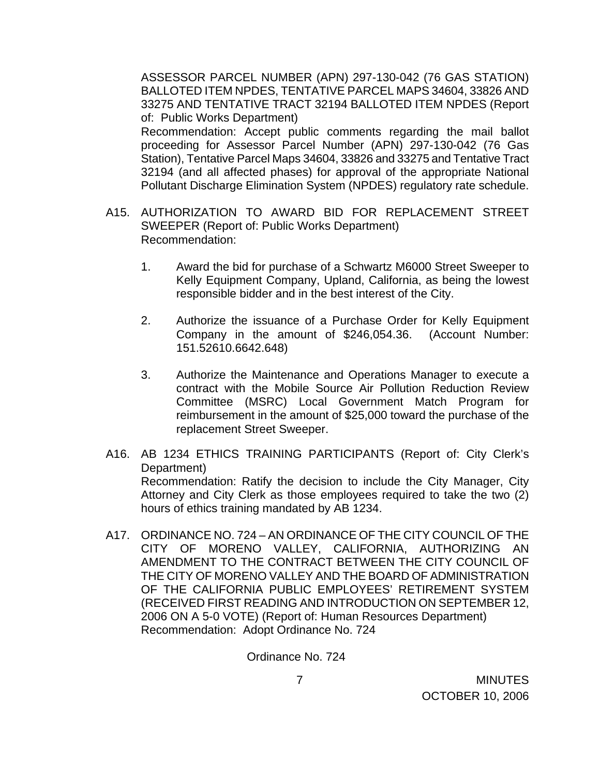ASSESSOR PARCEL NUMBER (APN) 297-130-042 (76 GAS STATION) BALLOTED ITEM NPDES, TENTATIVE PARCEL MAPS 34604, 33826 AND 33275 AND TENTATIVE TRACT 32194 BALLOTED ITEM NPDES (Report of: Public Works Department) Recommendation: Accept public comments regarding the mail ballot proceeding for Assessor Parcel Number (APN) 297-130-042 (76 Gas Station), Tentative Parcel Maps 34604, 33826 and 33275 and Tentative Tract 32194 (and all affected phases) for approval of the appropriate National Pollutant Discharge Elimination System (NPDES) regulatory rate schedule.

- A15. AUTHORIZATION TO AWARD BID FOR REPLACEMENT STREET SWEEPER (Report of: Public Works Department) Recommendation:
	- 1. Award the bid for purchase of a Schwartz M6000 Street Sweeper to Kelly Equipment Company, Upland, California, as being the lowest responsible bidder and in the best interest of the City.
	- 2. Authorize the issuance of a Purchase Order for Kelly Equipment Company in the amount of \$246,054.36. (Account Number: 151.52610.6642.648)
	- 3. Authorize the Maintenance and Operations Manager to execute a contract with the Mobile Source Air Pollution Reduction Review Committee (MSRC) Local Government Match Program for reimbursement in the amount of \$25,000 toward the purchase of the replacement Street Sweeper.
- A16. AB 1234 ETHICS TRAINING PARTICIPANTS (Report of: City Clerk's Department) Recommendation: Ratify the decision to include the City Manager, City Attorney and City Clerk as those employees required to take the two (2) hours of ethics training mandated by AB 1234.
- A17. ORDINANCE NO. 724 AN ORDINANCE OF THE CITY COUNCIL OF THE CITY OF MORENO VALLEY, CALIFORNIA, AUTHORIZING AN AMENDMENT TO THE CONTRACT BETWEEN THE CITY COUNCIL OF THE CITY OF MORENO VALLEY AND THE BOARD OF ADMINISTRATION OF THE CALIFORNIA PUBLIC EMPLOYEES' RETIREMENT SYSTEM (RECEIVED FIRST READING AND INTRODUCTION ON SEPTEMBER 12, 2006 ON A 5-0 VOTE) (Report of: Human Resources Department) Recommendation: Adopt Ordinance No. 724

Ordinance No. 724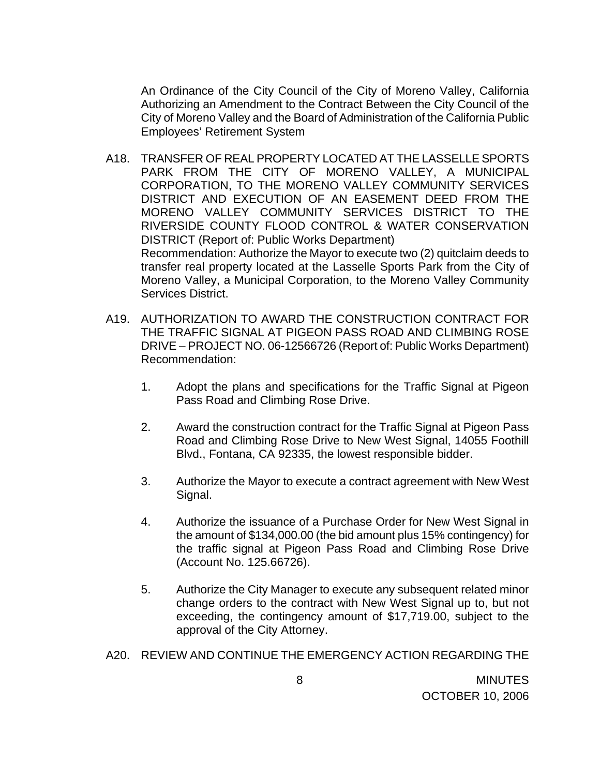An Ordinance of the City Council of the City of Moreno Valley, California Authorizing an Amendment to the Contract Between the City Council of the City of Moreno Valley and the Board of Administration of the California Public Employees' Retirement System

- A18. TRANSFER OF REAL PROPERTY LOCATED AT THE LASSELLE SPORTS PARK FROM THE CITY OF MORENO VALLEY, A MUNICIPAL CORPORATION, TO THE MORENO VALLEY COMMUNITY SERVICES DISTRICT AND EXECUTION OF AN EASEMENT DEED FROM THE MORENO VALLEY COMMUNITY SERVICES DISTRICT TO THE RIVERSIDE COUNTY FLOOD CONTROL & WATER CONSERVATION DISTRICT (Report of: Public Works Department) Recommendation: Authorize the Mayor to execute two (2) quitclaim deeds to transfer real property located at the Lasselle Sports Park from the City of Moreno Valley, a Municipal Corporation, to the Moreno Valley Community Services District.
- A19. AUTHORIZATION TO AWARD THE CONSTRUCTION CONTRACT FOR THE TRAFFIC SIGNAL AT PIGEON PASS ROAD AND CLIMBING ROSE DRIVE – PROJECT NO. 06-12566726 (Report of: Public Works Department) Recommendation:
	- 1. Adopt the plans and specifications for the Traffic Signal at Pigeon Pass Road and Climbing Rose Drive.
	- 2. Award the construction contract for the Traffic Signal at Pigeon Pass Road and Climbing Rose Drive to New West Signal, 14055 Foothill Blvd., Fontana, CA 92335, the lowest responsible bidder.
	- 3. Authorize the Mayor to execute a contract agreement with New West Signal.
	- 4. Authorize the issuance of a Purchase Order for New West Signal in the amount of \$134,000.00 (the bid amount plus 15% contingency) for the traffic signal at Pigeon Pass Road and Climbing Rose Drive (Account No. 125.66726).
	- 5. Authorize the City Manager to execute any subsequent related minor change orders to the contract with New West Signal up to, but not exceeding, the contingency amount of \$17,719.00, subject to the approval of the City Attorney.
- A20. REVIEW AND CONTINUE THE EMERGENCY ACTION REGARDING THE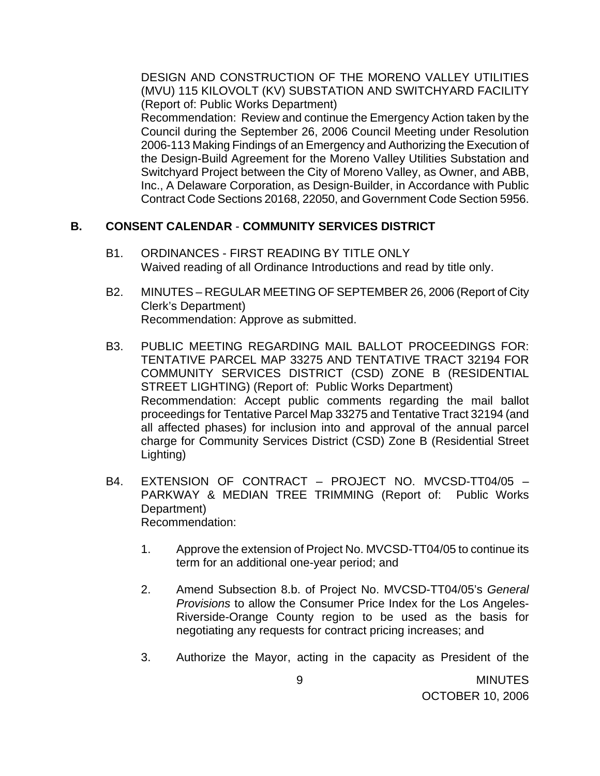DESIGN AND CONSTRUCTION OF THE MORENO VALLEY UTILITIES (MVU) 115 KILOVOLT (KV) SUBSTATION AND SWITCHYARD FACILITY (Report of: Public Works Department)

 Recommendation: Review and continue the Emergency Action taken by the Council during the September 26, 2006 Council Meeting under Resolution 2006-113 Making Findings of an Emergency and Authorizing the Execution of the Design-Build Agreement for the Moreno Valley Utilities Substation and Switchyard Project between the City of Moreno Valley, as Owner, and ABB, Inc., A Delaware Corporation, as Design-Builder, in Accordance with Public Contract Code Sections 20168, 22050, and Government Code Section 5956.

# **B. CONSENT CALENDAR** - **COMMUNITY SERVICES DISTRICT**

- B1. ORDINANCES FIRST READING BY TITLE ONLY Waived reading of all Ordinance Introductions and read by title only.
- B2. MINUTES REGULAR MEETING OF SEPTEMBER 26, 2006 (Report of City Clerk's Department) Recommendation: Approve as submitted.
- B3. PUBLIC MEETING REGARDING MAIL BALLOT PROCEEDINGS FOR: TENTATIVE PARCEL MAP 33275 AND TENTATIVE TRACT 32194 FOR COMMUNITY SERVICES DISTRICT (CSD) ZONE B (RESIDENTIAL STREET LIGHTING) (Report of: Public Works Department) Recommendation: Accept public comments regarding the mail ballot proceedings for Tentative Parcel Map 33275 and Tentative Tract 32194 (and all affected phases) for inclusion into and approval of the annual parcel charge for Community Services District (CSD) Zone B (Residential Street Lighting)
- B4. EXTENSION OF CONTRACT PROJECT NO. MVCSD-TT04/05 PARKWAY & MEDIAN TREE TRIMMING (Report of: Public Works Department) Recommendation:
	- 1. Approve the extension of Project No. MVCSD-TT04/05 to continue its term for an additional one-year period; and
	- 2. Amend Subsection 8.b. of Project No. MVCSD-TT04/05's *General Provisions* to allow the Consumer Price Index for the Los Angeles-Riverside-Orange County region to be used as the basis for negotiating any requests for contract pricing increases; and
	- 3. Authorize the Mayor, acting in the capacity as President of the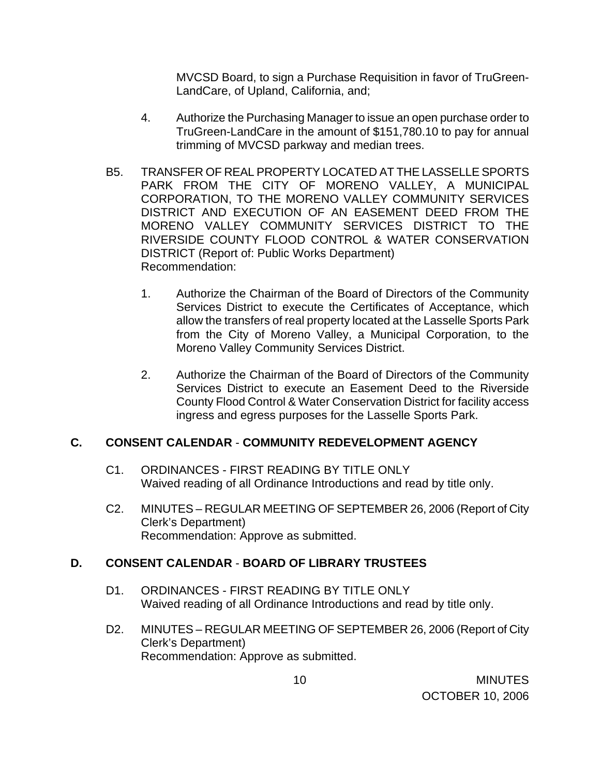MVCSD Board, to sign a Purchase Requisition in favor of TruGreen-LandCare, of Upland, California, and;

- 4. Authorize the Purchasing Manager to issue an open purchase order to TruGreen-LandCare in the amount of \$151,780.10 to pay for annual trimming of MVCSD parkway and median trees.
- B5. TRANSFER OF REAL PROPERTY LOCATED AT THE LASSELLE SPORTS PARK FROM THE CITY OF MORENO VALLEY, A MUNICIPAL CORPORATION, TO THE MORENO VALLEY COMMUNITY SERVICES DISTRICT AND EXECUTION OF AN EASEMENT DEED FROM THE MORENO VALLEY COMMUNITY SERVICES DISTRICT TO THE RIVERSIDE COUNTY FLOOD CONTROL & WATER CONSERVATION DISTRICT (Report of: Public Works Department) Recommendation:
	- 1. Authorize the Chairman of the Board of Directors of the Community Services District to execute the Certificates of Acceptance, which allow the transfers of real property located at the Lasselle Sports Park from the City of Moreno Valley, a Municipal Corporation, to the Moreno Valley Community Services District.
	- 2. Authorize the Chairman of the Board of Directors of the Community Services District to execute an Easement Deed to the Riverside County Flood Control & Water Conservation District for facility access ingress and egress purposes for the Lasselle Sports Park.

#### **C. CONSENT CALENDAR** - **COMMUNITY REDEVELOPMENT AGENCY**

- C1. ORDINANCES FIRST READING BY TITLE ONLY Waived reading of all Ordinance Introductions and read by title only.
- C2. MINUTES REGULAR MEETING OF SEPTEMBER 26, 2006 (Report of City Clerk's Department) Recommendation: Approve as submitted.

# **D. CONSENT CALENDAR** - **BOARD OF LIBRARY TRUSTEES**

- D1. ORDINANCES FIRST READING BY TITLE ONLY Waived reading of all Ordinance Introductions and read by title only.
- D2. MINUTES REGULAR MEETING OF SEPTEMBER 26, 2006 (Report of City Clerk's Department) Recommendation: Approve as submitted.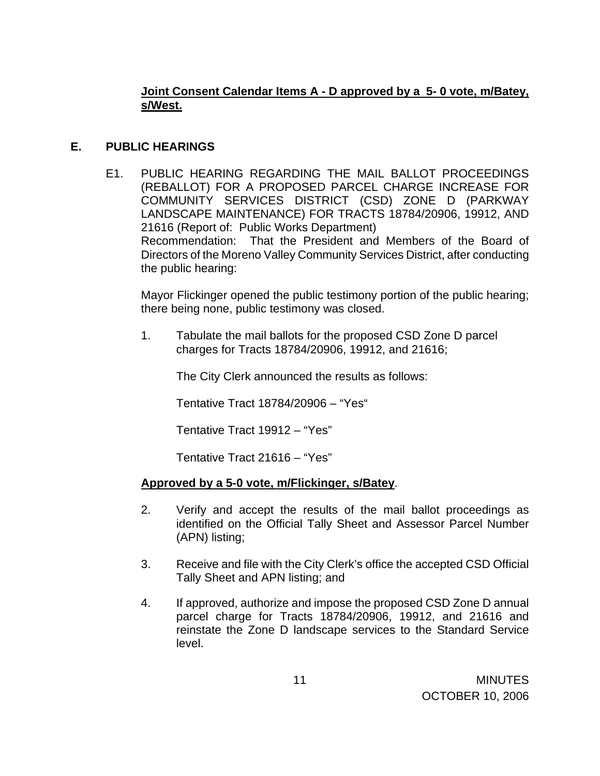# **Joint Consent Calendar Items A - D approved by a 5- 0 vote, m/Batey, s/West.**

# **E. PUBLIC HEARINGS**

 E1. PUBLIC HEARING REGARDING THE MAIL BALLOT PROCEEDINGS (REBALLOT) FOR A PROPOSED PARCEL CHARGE INCREASE FOR COMMUNITY SERVICES DISTRICT (CSD) ZONE D (PARKWAY LANDSCAPE MAINTENANCE) FOR TRACTS 18784/20906, 19912, AND 21616 (Report of: Public Works Department) Recommendation: That the President and Members of the Board of Directors of the Moreno Valley Community Services District, after conducting the public hearing:

 Mayor Flickinger opened the public testimony portion of the public hearing; there being none, public testimony was closed.

1. Tabulate the mail ballots for the proposed CSD Zone D parcel charges for Tracts 18784/20906, 19912, and 21616;

The City Clerk announced the results as follows:

Tentative Tract 18784/20906 – "Yes"

Tentative Tract 19912 – "Yes"

Tentative Tract 21616 – "Yes"

#### **Approved by a 5-0 vote, m/Flickinger, s/Batey**.

- 2. Verify and accept the results of the mail ballot proceedings as identified on the Official Tally Sheet and Assessor Parcel Number (APN) listing;
- 3. Receive and file with the City Clerk's office the accepted CSD Official Tally Sheet and APN listing; and
- 4. If approved, authorize and impose the proposed CSD Zone D annual parcel charge for Tracts 18784/20906, 19912, and 21616 and reinstate the Zone D landscape services to the Standard Service level.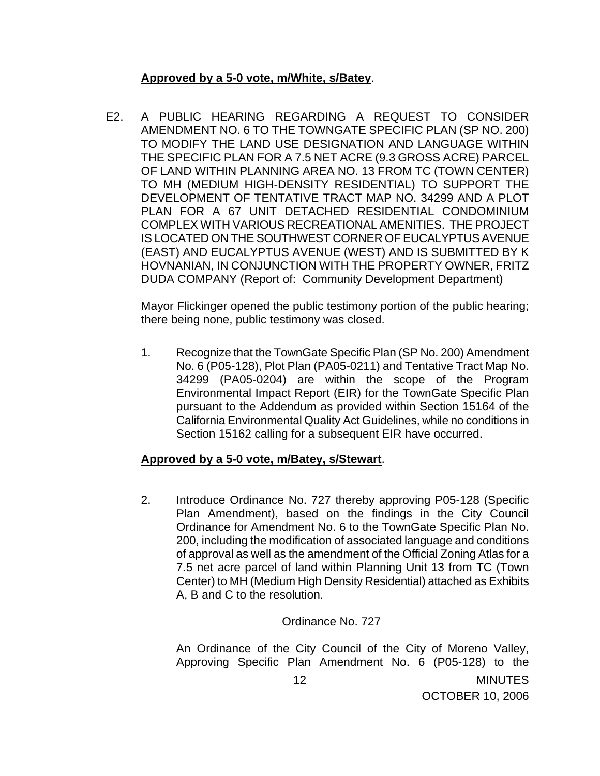### **Approved by a 5-0 vote, m/White, s/Batey**.

 E2. A PUBLIC HEARING REGARDING A REQUEST TO CONSIDER AMENDMENT NO. 6 TO THE TOWNGATE SPECIFIC PLAN (SP NO. 200) TO MODIFY THE LAND USE DESIGNATION AND LANGUAGE WITHIN THE SPECIFIC PLAN FOR A 7.5 NET ACRE (9.3 GROSS ACRE) PARCEL OF LAND WITHIN PLANNING AREA NO. 13 FROM TC (TOWN CENTER) TO MH (MEDIUM HIGH-DENSITY RESIDENTIAL) TO SUPPORT THE DEVELOPMENT OF TENTATIVE TRACT MAP NO. 34299 AND A PLOT PLAN FOR A 67 UNIT DETACHED RESIDENTIAL CONDOMINIUM COMPLEX WITH VARIOUS RECREATIONAL AMENITIES. THE PROJECT IS LOCATED ON THE SOUTHWEST CORNER OF EUCALYPTUS AVENUE (EAST) AND EUCALYPTUS AVENUE (WEST) AND IS SUBMITTED BY K HOVNANIAN, IN CONJUNCTION WITH THE PROPERTY OWNER, FRITZ DUDA COMPANY (Report of: Community Development Department)

Mayor Flickinger opened the public testimony portion of the public hearing; there being none, public testimony was closed.

 1. Recognize that the TownGate Specific Plan (SP No. 200) Amendment No. 6 (P05-128), Plot Plan (PA05-0211) and Tentative Tract Map No. 34299 (PA05-0204) are within the scope of the Program Environmental Impact Report (EIR) for the TownGate Specific Plan pursuant to the Addendum as provided within Section 15164 of the California Environmental Quality Act Guidelines, while no conditions in Section 15162 calling for a subsequent EIR have occurred.

#### **Approved by a 5-0 vote, m/Batey, s/Stewart**.

 2. Introduce Ordinance No. 727 thereby approving P05-128 (Specific Plan Amendment), based on the findings in the City Council Ordinance for Amendment No. 6 to the TownGate Specific Plan No. 200, including the modification of associated language and conditions of approval as well as the amendment of the Official Zoning Atlas for a 7.5 net acre parcel of land within Planning Unit 13 from TC (Town Center) to MH (Medium High Density Residential) attached as Exhibits A, B and C to the resolution.

#### Ordinance No. 727

**MINUTES** OCTOBER 10, 2006 12 An Ordinance of the City Council of the City of Moreno Valley, Approving Specific Plan Amendment No. 6 (P05-128) to the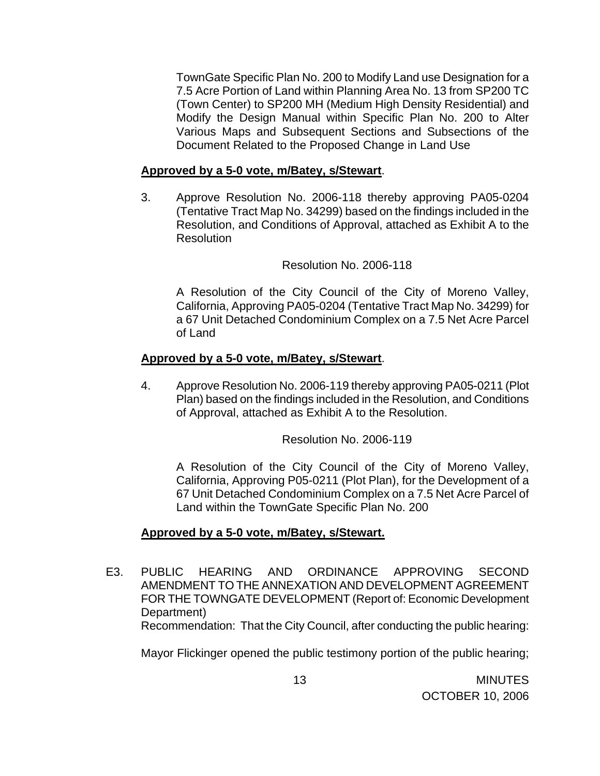TownGate Specific Plan No. 200 to Modify Land use Designation for a 7.5 Acre Portion of Land within Planning Area No. 13 from SP200 TC (Town Center) to SP200 MH (Medium High Density Residential) and Modify the Design Manual within Specific Plan No. 200 to Alter Various Maps and Subsequent Sections and Subsections of the Document Related to the Proposed Change in Land Use

#### **Approved by a 5-0 vote, m/Batey, s/Stewart**.

 3. Approve Resolution No. 2006-118 thereby approving PA05-0204 (Tentative Tract Map No. 34299) based on the findings included in the Resolution, and Conditions of Approval, attached as Exhibit A to the **Resolution** 

Resolution No. 2006-118

 A Resolution of the City Council of the City of Moreno Valley, California, Approving PA05-0204 (Tentative Tract Map No. 34299) for a 67 Unit Detached Condominium Complex on a 7.5 Net Acre Parcel of Land

#### **Approved by a 5-0 vote, m/Batey, s/Stewart**.

 4. Approve Resolution No. 2006-119 thereby approving PA05-0211 (Plot Plan) based on the findings included in the Resolution, and Conditions of Approval, attached as Exhibit A to the Resolution.

Resolution No. 2006-119

 A Resolution of the City Council of the City of Moreno Valley, California, Approving P05-0211 (Plot Plan), for the Development of a 67 Unit Detached Condominium Complex on a 7.5 Net Acre Parcel of Land within the TownGate Specific Plan No. 200

#### **Approved by a 5-0 vote, m/Batey, s/Stewart.**

 E3. PUBLIC HEARING AND ORDINANCE APPROVING SECOND AMENDMENT TO THE ANNEXATION AND DEVELOPMENT AGREEMENT FOR THE TOWNGATE DEVELOPMENT (Report of: Economic Development Department) Recommendation: That the City Council, after conducting the public hearing:

Mayor Flickinger opened the public testimony portion of the public hearing;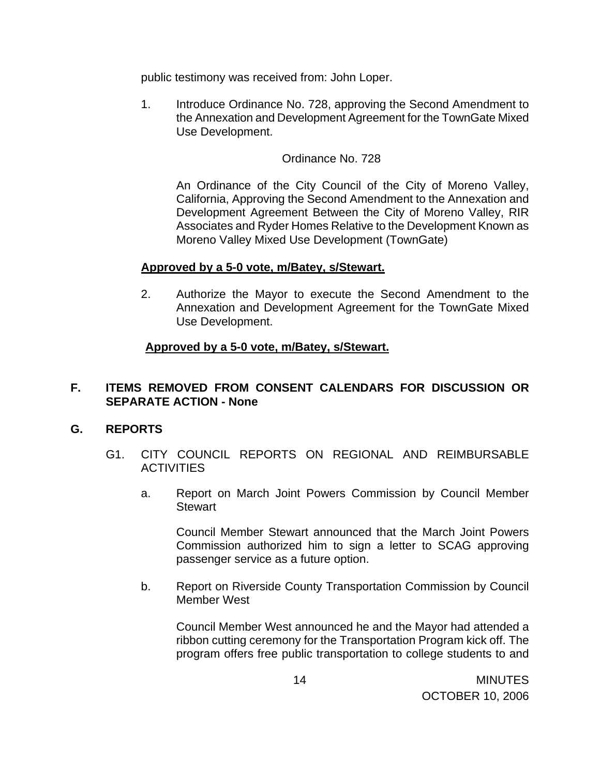public testimony was received from: John Loper.

 1. Introduce Ordinance No. 728, approving the Second Amendment to the Annexation and Development Agreement for the TownGate Mixed Use Development.

### Ordinance No. 728

 An Ordinance of the City Council of the City of Moreno Valley, California, Approving the Second Amendment to the Annexation and Development Agreement Between the City of Moreno Valley, RIR Associates and Ryder Homes Relative to the Development Known as Moreno Valley Mixed Use Development (TownGate)

#### **Approved by a 5-0 vote, m/Batey, s/Stewart.**

 2. Authorize the Mayor to execute the Second Amendment to the Annexation and Development Agreement for the TownGate Mixed Use Development.

#### **Approved by a 5-0 vote, m/Batey, s/Stewart.**

## **F. ITEMS REMOVED FROM CONSENT CALENDARS FOR DISCUSSION OR SEPARATE ACTION - None**

#### **G. REPORTS**

- G1. CITY COUNCIL REPORTS ON REGIONAL AND REIMBURSABLE **ACTIVITIES** 
	- a. Report on March Joint Powers Commission by Council Member **Stewart**

 Council Member Stewart announced that the March Joint Powers Commission authorized him to sign a letter to SCAG approving passenger service as a future option.

b. Report on Riverside County Transportation Commission by Council Member West

Council Member West announced he and the Mayor had attended a ribbon cutting ceremony for the Transportation Program kick off. The program offers free public transportation to college students to and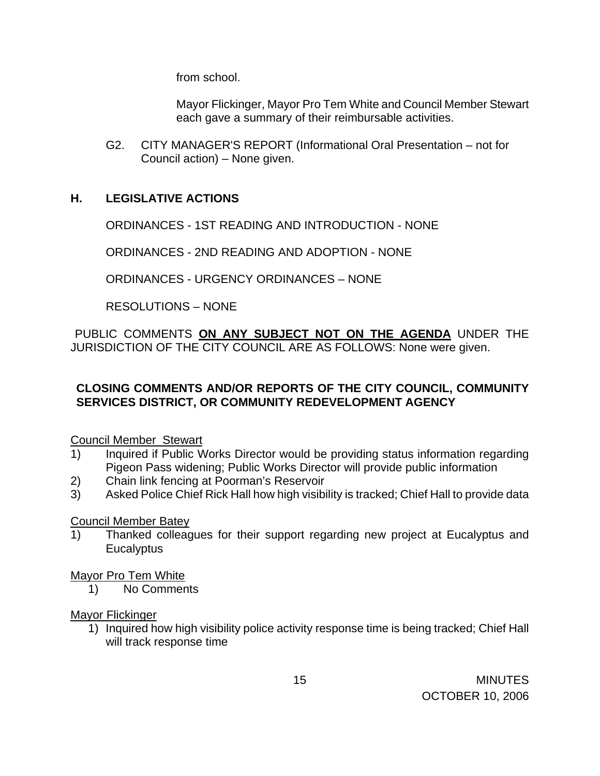from school.

Mayor Flickinger, Mayor Pro Tem White and Council Member Stewart each gave a summary of their reimbursable activities.

G2. CITY MANAGER'S REPORT (Informational Oral Presentation – not for Council action) – None given.

## **H. LEGISLATIVE ACTIONS**

ORDINANCES - 1ST READING AND INTRODUCTION - NONE

ORDINANCES - 2ND READING AND ADOPTION - NONE

ORDINANCES - URGENCY ORDINANCES – NONE

RESOLUTIONS – NONE

PUBLIC COMMENTS **ON ANY SUBJECT NOT ON THE AGENDA** UNDER THE JURISDICTION OF THE CITY COUNCIL ARE AS FOLLOWS: None were given.

## **CLOSING COMMENTS AND/OR REPORTS OF THE CITY COUNCIL, COMMUNITY SERVICES DISTRICT, OR COMMUNITY REDEVELOPMENT AGENCY**

Council Member Stewart

- 1) Inquired if Public Works Director would be providing status information regarding Pigeon Pass widening; Public Works Director will provide public information
- 2) Chain link fencing at Poorman's Reservoir
- 3) Asked Police Chief Rick Hall how high visibility is tracked; Chief Hall to provide data

#### Council Member Batey

1) Thanked colleagues for their support regarding new project at Eucalyptus and **Eucalyptus** 

Mayor Pro Tem White

1) No Comments

#### Mayor Flickinger

1) Inquired how high visibility police activity response time is being tracked; Chief Hall will track response time